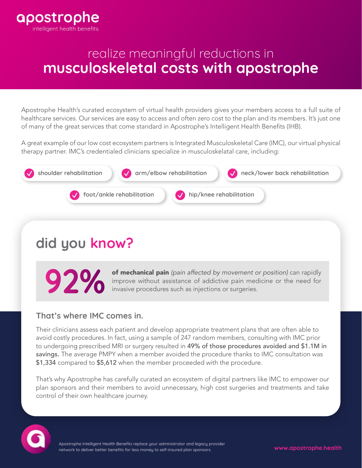

# realize meaningful reductions in **musculoskeletal costs with apostrophe**

Apostrophe Health's curated ecosystem of virtual health providers gives your members access to a full suite of healthcare services. Our services are easy to access and often zero cost to the plan and its members. It's just one of many of the great services that come standard in Apostrophe's Intelligent Health Benefits (IHB).

A great example of our low cost ecosystem partners is Integrated Musculoskeletal Care (IMC), our virtual physical therapy partner. IMC's credentialed clinicians specialize in musculoskelatal care, including:



# **did you know?**

of mechanical pain *(pain affected by movement or position)* can rapidly improve without assistance of addictive pain medicine or the need for invasive procedures such as injections or surgeries.

#### **That's where IMC comes in.**

Their clinicians assess each patient and develop appropriate treatment plans that are often able to avoid costly procedures. In fact, using a sample of 247 random members, consulting with IMC prior to undergoing prescribed MRI or surgery resulted in 49% of those procedures avoided and \$1.1M in savings. The average PMPY when a member avoided the procedure thanks to IMC consultation was \$1,334 compared to \$5,612 when the member proceeded with the procedure.

That's why Apostrophe has carefully curated an ecosystem of digital partners like IMC to empower our plan sponsors and their members to avoid unnecessary, high cost surgeries and treatments and take control of their own healthcare journey.